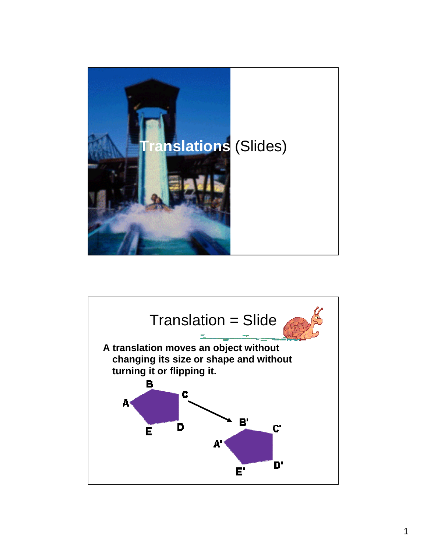

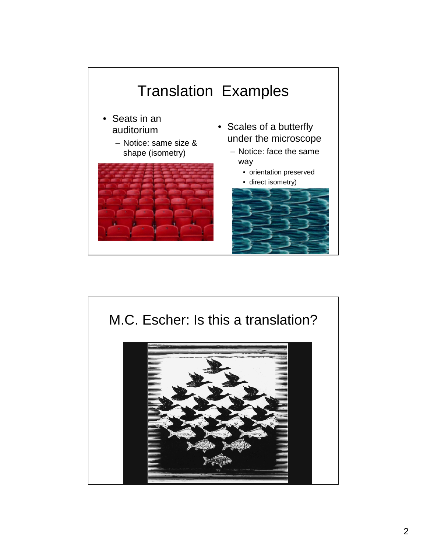

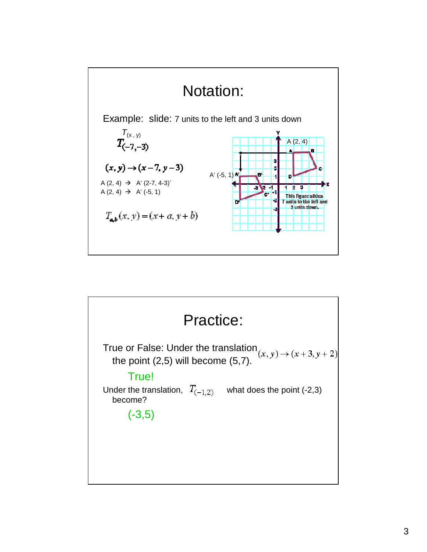

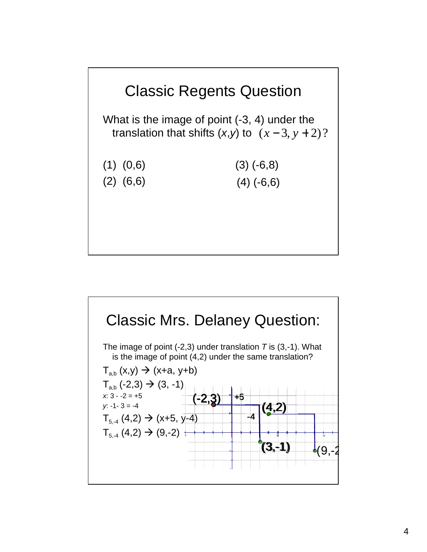